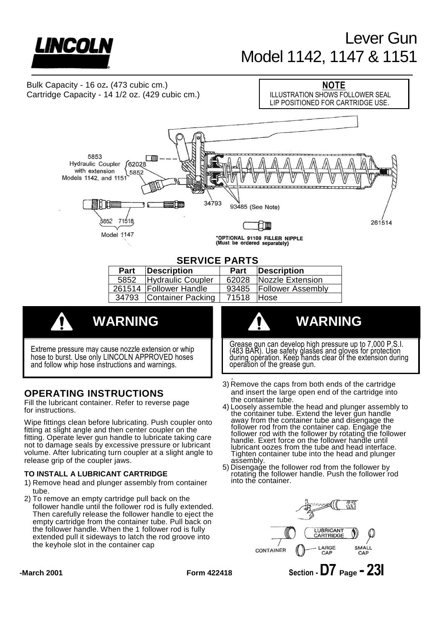

# Lever Gun Model 1142, 1147 & 1151



# release grip of the coupler jaws.

# **TO INSTALL A LUBRICANT CARTRIDGE**

- 1) Remove head and plunger assembly from container tube.
- 2) To remove an empty cartridge pull back on the follower handle until the follower rod is fully extended. Then carefully release the follower handle to eject the empty cartridge from the container tube. Pull back on the follower handle. When the 1 follower rod is fully extended pull it sideways to latch the rod groove into the keyhole slot in the container cap
- lubricant oozes from the tube and head interface. Tighten container tube into the head and plunger assembly.
- 5) Disengage the follower rod from the follower by rotating the follower handle. Push the follower rod into the container.



**-March 2001 Form 422418 Section -D7 Page - 23I**